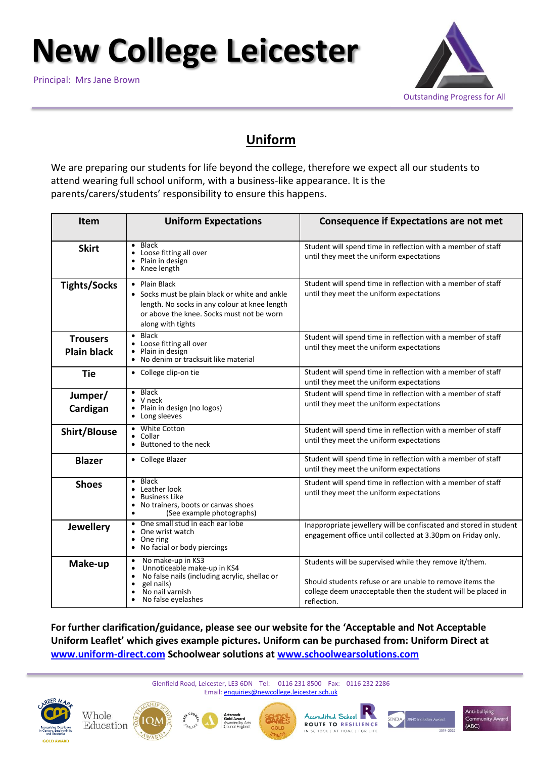# **New College Leicester**

Principal: Mrs Jane Brown



## **Uniform**

We are preparing our students for life beyond the college, therefore we expect all our students to attend wearing full school uniform, with a business-like appearance. It is the parents/carers/students' responsibility to ensure this happens.

| Item                                  | <b>Uniform Expectations</b>                                                                                                                                                        | <b>Consequence if Expectations are not met</b>                                                                                                                                                    |
|---------------------------------------|------------------------------------------------------------------------------------------------------------------------------------------------------------------------------------|---------------------------------------------------------------------------------------------------------------------------------------------------------------------------------------------------|
| <b>Skirt</b>                          | $\bullet$ Black<br>• Loose fitting all over<br>Plain in design<br>Knee length<br>$\bullet$                                                                                         | Student will spend time in reflection with a member of staff<br>until they meet the uniform expectations                                                                                          |
| <b>Tights/Socks</b>                   | • Plain Black<br>• Socks must be plain black or white and ankle<br>length. No socks in any colour at knee length<br>or above the knee. Socks must not be worn<br>along with tights | Student will spend time in reflection with a member of staff<br>until they meet the uniform expectations                                                                                          |
| <b>Trousers</b><br><b>Plain black</b> | $\bullet$ Black<br>Loose fitting all over<br>• Plain in design<br>No denim or tracksuit like material                                                                              | Student will spend time in reflection with a member of staff<br>until they meet the uniform expectations                                                                                          |
| <b>Tie</b>                            | • College clip-on tie                                                                                                                                                              | Student will spend time in reflection with a member of staff<br>until they meet the uniform expectations                                                                                          |
| Jumper/<br>Cardigan                   | $\bullet$ Black<br>$\bullet$ V neck<br>Plain in design (no logos)<br>• Long sleeves                                                                                                | Student will spend time in reflection with a member of staff<br>until they meet the uniform expectations                                                                                          |
| <b>Shirt/Blouse</b>                   | • White Cotton<br>• Collar<br>• Buttoned to the neck                                                                                                                               | Student will spend time in reflection with a member of staff<br>until they meet the uniform expectations                                                                                          |
| <b>Blazer</b>                         | • College Blazer                                                                                                                                                                   | Student will spend time in reflection with a member of staff<br>until they meet the uniform expectations                                                                                          |
| <b>Shoes</b>                          | $\bullet$ Black<br>• Leather look<br><b>Business Like</b><br>No trainers, boots or canvas shoes<br>٠<br>(See example photographs)                                                  | Student will spend time in reflection with a member of staff<br>until they meet the uniform expectations                                                                                          |
| <b>Jewellery</b>                      | • One small stud in each ear lobe<br>• One wrist watch<br>One ring<br>$\bullet$<br>No facial or body piercings<br>$\bullet$                                                        | Inappropriate jewellery will be confiscated and stored in student<br>engagement office until collected at 3.30pm on Friday only.                                                                  |
| Make-up                               | No make-up in KS3<br>$\bullet$<br>Unnoticeable make-up in KS4<br>No false nails (including acrylic, shellac or<br>gel nails)<br>٠<br>No nail varnish<br>No false eyelashes         | Students will be supervised while they remove it/them.<br>Should students refuse or are unable to remove items the<br>college deem unacceptable then the student will be placed in<br>reflection. |

**For further clarification/guidance, please see our website for the 'Acceptable and Not Acceptable Uniform Leaflet' which gives example pictures. Uniform can be purchased from: Uniform Direct at [www.uniform-direct.com](file://///NCL-FS02/SchoolFiles$/Administration/Document%20Templates/www.uniform-direct.com%20) Schoolwear solutions at [www.schoolwearsolutions.com](file://///NCL-FS02/SchoolFiles$/Administration/Document%20Templates/www.schoolwearsolutions.com)**

> Glenfield Road, Leicester, LE3 6DN Tel: 0116 231 8500 Fax: 0116 232 2286 Email: [enquiries@newcollege.leicester.sch.uk](mailto:enquiries@newcollege.leicester.sch.uk)













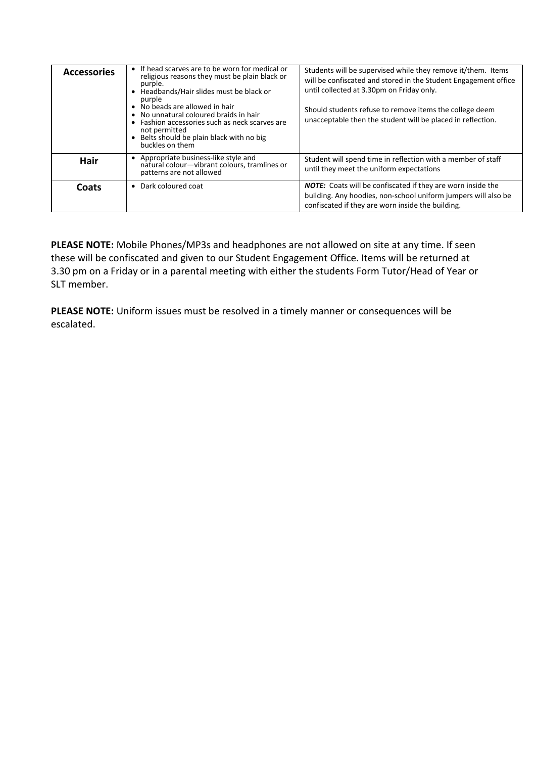| <b>Accessories</b> | • If head scarves are to be worn for medical or<br>religious reasons they must be plain black or<br>purple.<br>Headbands/Hair slides must be black or<br>purple<br>• No beads are allowed in hair<br>• No unnatural coloured braids in hair<br>Fashion accessories such as neck scarves are<br>not permitted<br>Belts should be plain black with no big<br>buckles on them | Students will be supervised while they remove it/them. Items<br>will be confiscated and stored in the Student Engagement office<br>until collected at 3.30pm on Friday only.<br>Should students refuse to remove items the college deem<br>unacceptable then the student will be placed in reflection. |
|--------------------|----------------------------------------------------------------------------------------------------------------------------------------------------------------------------------------------------------------------------------------------------------------------------------------------------------------------------------------------------------------------------|--------------------------------------------------------------------------------------------------------------------------------------------------------------------------------------------------------------------------------------------------------------------------------------------------------|
| Hair               | Appropriate business-like style and<br>natural colour-vibrant colours, tramlines or<br>patterns are not allowed                                                                                                                                                                                                                                                            | Student will spend time in reflection with a member of staff<br>until they meet the uniform expectations                                                                                                                                                                                               |
| Coats              | • Dark coloured coat                                                                                                                                                                                                                                                                                                                                                       | <b>NOTE:</b> Coats will be confiscated if they are worn inside the<br>building. Any hoodies, non-school uniform jumpers will also be<br>confiscated if they are worn inside the building.                                                                                                              |

**PLEASE NOTE:** Mobile Phones/MP3s and headphones are not allowed on site at any time. If seen these will be confiscated and given to our Student Engagement Office. Items will be returned at 3.30 pm on a Friday or in a parental meeting with either the students Form Tutor/Head of Year or SLT member.

**PLEASE NOTE:** Uniform issues must be resolved in a timely manner or consequences will be escalated.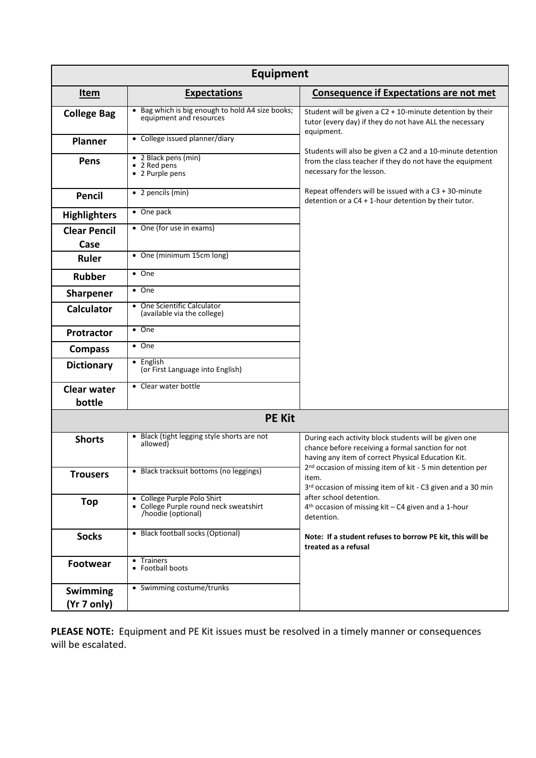| <b>Equipment</b>             |                                                                                             |                                                                                                                                                                  |  |  |
|------------------------------|---------------------------------------------------------------------------------------------|------------------------------------------------------------------------------------------------------------------------------------------------------------------|--|--|
| Item                         | <b>Expectations</b>                                                                         | <b>Consequence if Expectations are not met</b>                                                                                                                   |  |  |
| <b>College Bag</b>           | Bag which is big enough to hold A4 size books;<br>equipment and resources                   | Student will be given a $C2 + 10$ -minute detention by their<br>tutor (every day) if they do not have ALL the necessary<br>equipment.                            |  |  |
| <b>Planner</b>               | • College issued planner/diary                                                              | Students will also be given a C2 and a 10-minute detention                                                                                                       |  |  |
| Pens                         | • 2 Black pens (min)<br>$\bullet$ 2 Red pens<br>• 2 Purple pens                             | from the class teacher if they do not have the equipment<br>necessary for the lesson.                                                                            |  |  |
| Pencil                       | $\bullet$ 2 pencils (min)                                                                   | Repeat offenders will be issued with a $C3 + 30$ -minute<br>detention or a $C4 + 1$ -hour detention by their tutor.                                              |  |  |
| <b>Highlighters</b>          | $\bullet$ One pack                                                                          |                                                                                                                                                                  |  |  |
| <b>Clear Pencil</b><br>Case  | • One (for use in exams)                                                                    |                                                                                                                                                                  |  |  |
| Ruler                        | • One (minimum 15cm long)                                                                   |                                                                                                                                                                  |  |  |
| <b>Rubber</b>                | $\bullet$ One                                                                               |                                                                                                                                                                  |  |  |
| <b>Sharpener</b>             | $\bullet$ One                                                                               |                                                                                                                                                                  |  |  |
| <b>Calculator</b>            | • One Scientific Calculator<br>(available via the college)                                  |                                                                                                                                                                  |  |  |
| Protractor                   | $\bullet$ One                                                                               |                                                                                                                                                                  |  |  |
| <b>Compass</b>               | $\bullet$ One                                                                               |                                                                                                                                                                  |  |  |
| <b>Dictionary</b>            | $\bullet$ English<br>(or First Language into English)                                       |                                                                                                                                                                  |  |  |
| <b>Clear water</b><br>bottle | • Clear water bottle                                                                        |                                                                                                                                                                  |  |  |
| <b>PE Kit</b>                |                                                                                             |                                                                                                                                                                  |  |  |
| <b>Shorts</b>                | Black (tight legging style shorts are not<br>allowed)                                       | During each activity block students will be given one<br>chance before receiving a formal sanction for not<br>having any item of correct Physical Education Kit. |  |  |
| <b>Trousers</b>              | • Black tracksuit bottoms (no leggings)                                                     | 2 <sup>nd</sup> occasion of missing item of kit - 5 min detention per<br>item.<br>3rd occasion of missing item of kit - C3 given and a 30 min                    |  |  |
| Top                          | • College Purple Polo Shirt<br>• College Purple round neck sweatshirt<br>/hoodie (optional) | after school detention.<br>$4th$ occasion of missing kit – C4 given and a 1-hour<br>detention.                                                                   |  |  |
| <b>Socks</b>                 | • Black football socks (Optional)                                                           | Note: If a student refuses to borrow PE kit, this will be<br>treated as a refusal                                                                                |  |  |
| <b>Footwear</b>              | • Trainers<br>• Football boots                                                              |                                                                                                                                                                  |  |  |
| Swimming<br>(Yr 7 only)      | • Swimming costume/trunks                                                                   |                                                                                                                                                                  |  |  |

**PLEASE NOTE:** Equipment and PE Kit issues must be resolved in a timely manner or consequences will be escalated.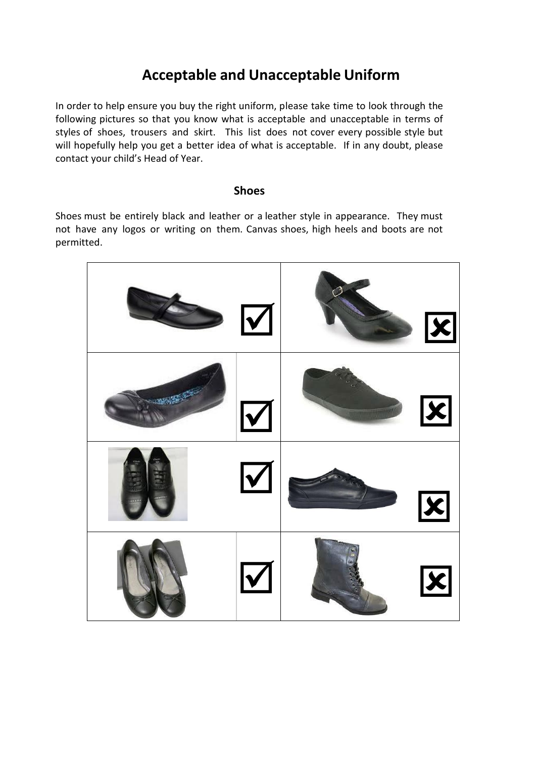## **Acceptable and Unacceptable Uniform**

In order to help ensure you buy the right uniform, please take time to look through the following pictures so that you know what is acceptable and unacceptable in terms of styles of shoes, trousers and skirt. This list does not cover every possible style but will hopefully help you get a better idea of what is acceptable. If in any doubt, please contact your child's Head of Year.

#### **Shoes**

Shoes must be entirely black and leather or a leather style in appearance. They must not have any logos or writing on them. Canvas shoes, high heels and boots are not permitted.

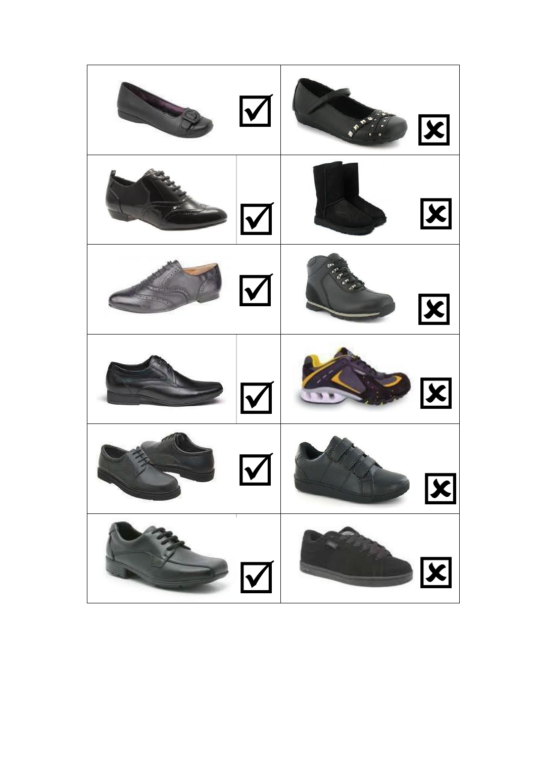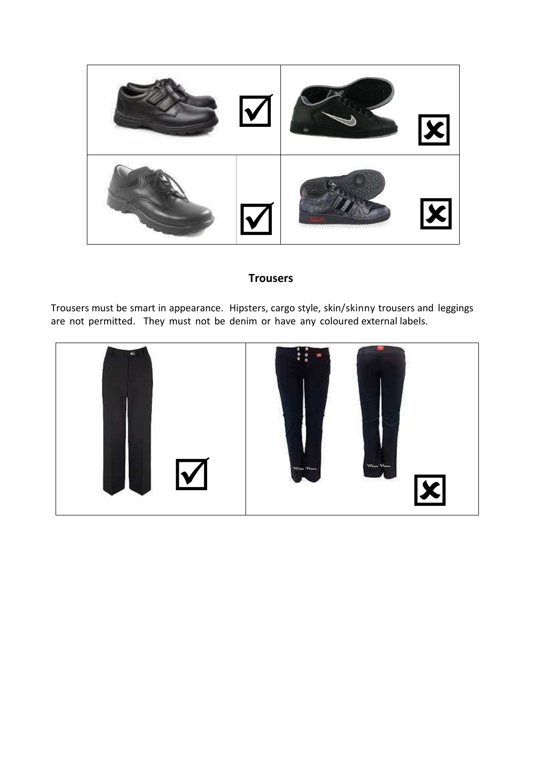

#### **Trousers**

Trousers must be smart in appearance. Hipsters, cargo style, skin/skinny trousers and leggings are not permitted. They must not be denim or have any coloured external labels.

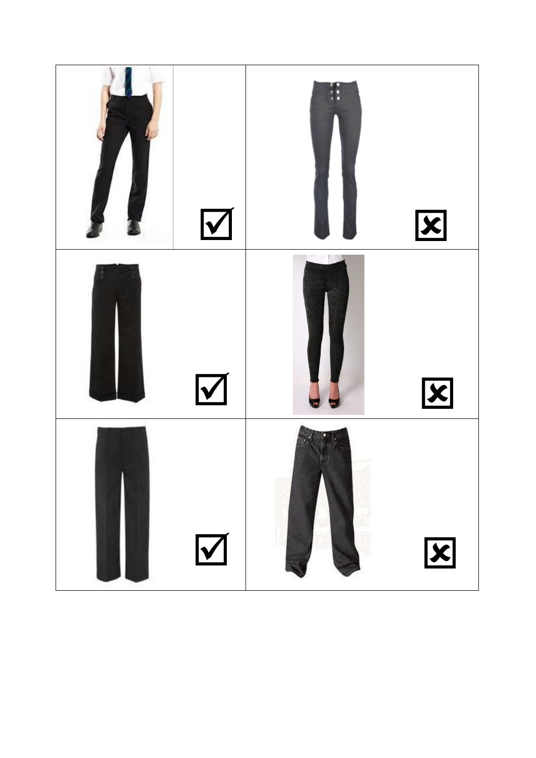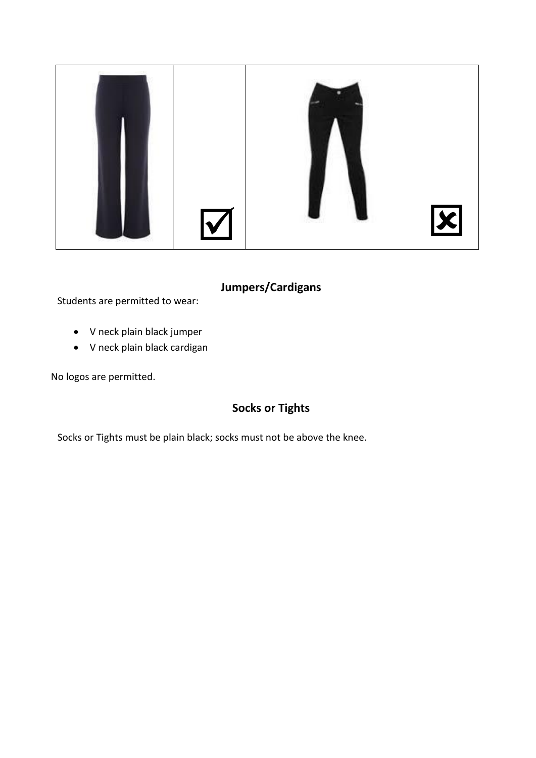

### **Jumpers/Cardigans**

Students are permitted to wear:

- V neck plain black jumper
- V neck plain black cardigan

No logos are permitted.

#### **Socks or Tights**

Socks or Tights must be plain black; socks must not be above the knee.